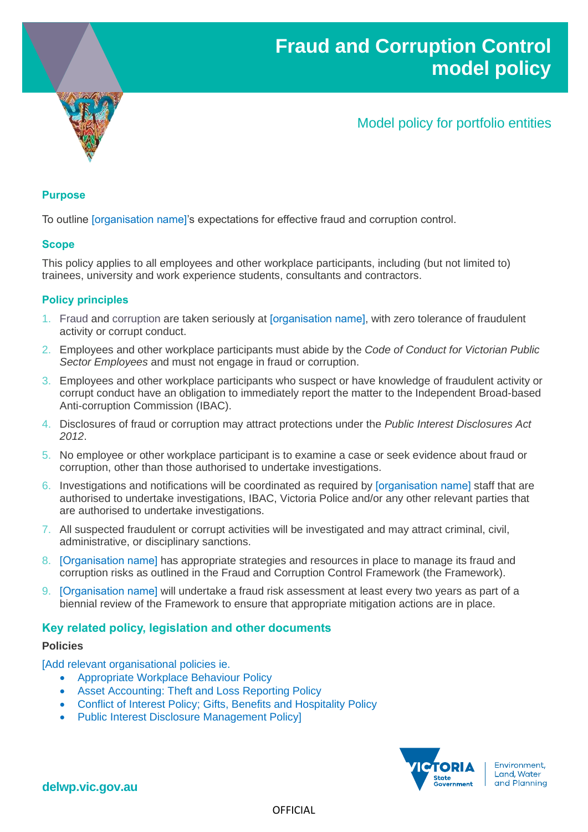

## Model policy for portfolio entities

#### **Purpose**

To outline [organisation name]'s expectations for effective fraud and corruption control.

#### **Scope**

This policy applies to all employees and other workplace participants, including (but not limited to) trainees, university and work experience students, consultants and contractors.

#### **Policy principles**

- 1. Fraud and corruption are taken seriously at [organisation name], with zero tolerance of fraudulent activity or corrupt conduct.
- 2. Employees and other workplace participants must abide by the *Code of Conduct for Victorian Public Sector Employees* and must not engage in fraud or corruption.
- 3. Employees and other workplace participants who suspect or have knowledge of fraudulent activity or corrupt conduct have an obligation to immediately report the matter to the Independent Broad-based Anti-corruption Commission (IBAC).
- 4. Disclosures of fraud or corruption may attract protections under the *Public Interest Disclosures Act 2012*.
- 5. No employee or other workplace participant is to examine a case or seek evidence about fraud or corruption, other than those authorised to undertake investigations.
- 6. Investigations and notifications will be coordinated as required by [organisation name] staff that are authorised to undertake investigations, IBAC, Victoria Police and/or any other relevant parties that are authorised to undertake investigations.
- 7. All suspected fraudulent or corrupt activities will be investigated and may attract criminal, civil, administrative, or disciplinary sanctions.
- 8. [Organisation name] has appropriate strategies and resources in place to manage its fraud and corruption risks as outlined in the Fraud and Corruption Control Framework (the Framework).
- 9. [Organisation name] will undertake a fraud risk assessment at least every two years as part of a biennial review of the Framework to ensure that appropriate mitigation actions are in place.

#### **Key related policy, legislation and other documents**

#### **Policies**

[Add relevant organisational policies ie.

- Appropriate Workplace Behaviour Policy
- Asset Accounting: Theft and Loss Reporting Policy
- Conflict of Interest Policy: Gifts, Benefits and Hospitality Policy
- Public Interest Disclosure Management Policy]



**delwp.vic.gov.au**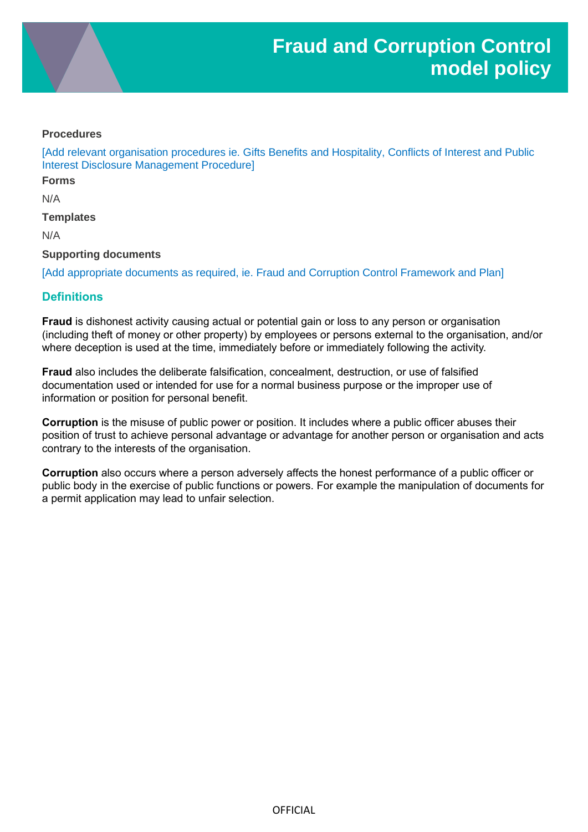#### **Procedures**

[Add relevant organisation procedures ie. Gifts Benefits and Hospitality, Conflicts of Interest and Public Interest Disclosure Management Procedure]

**Forms**

N/A

**Templates**

N/A

#### **Supporting documents**

[Add appropriate documents as required, ie. Fraud and Corruption Control Framework and Plan]

### **Definitions**

**Fraud** is dishonest activity causing actual or potential gain or loss to any person or organisation (including theft of money or other property) by employees or persons external to the organisation, and/or where deception is used at the time, immediately before or immediately following the activity.

**Fraud** also includes the deliberate falsification, concealment, destruction, or use of falsified documentation used or intended for use for a normal business purpose or the improper use of information or position for personal benefit.

**Corruption** is the misuse of public power or position. It includes where a public officer abuses their position of trust to achieve personal advantage or advantage for another person or organisation and acts contrary to the interests of the organisation.

**Corruption** also occurs where a person adversely affects the honest performance of a public officer or public body in the exercise of public functions or powers. For example the manipulation of documents for a permit application may lead to unfair selection.